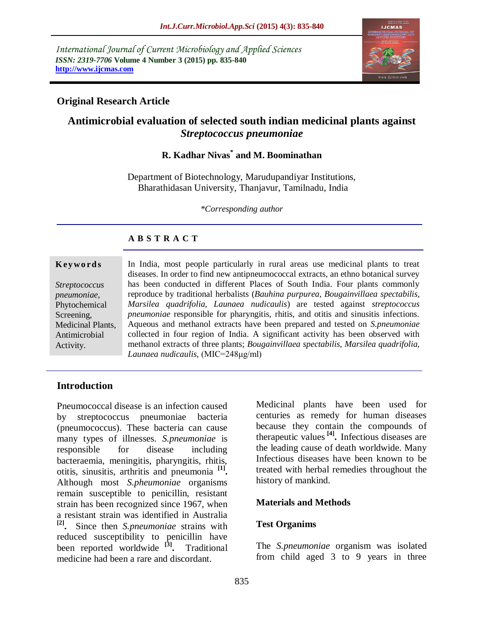*International Journal of Current Microbiology and Applied Sciences ISSN: 2319-7706* **Volume 4 Number 3 (2015) pp. 835-840 http://www.ijcmas.com** 



#### **Original Research Article**

# **Antimicrobial evaluation of selected south indian medicinal plants against**  *Streptococcus pneumoniae*

## **R. Kadhar Nivas\* and M. Boominathan**

Department of Biotechnology, Marudupandiyar Institutions, Bharathidasan University, Thanjavur, Tamilnadu, India

*\*Corresponding author*

#### **A B S T R A C T**

#### **K ey w o rd s**

*Streptococcus pneumoniae,* Phytochemical Screening, Medicinal Plants, Antimicrobial Activity.

In India, most people particularly in rural areas use medicinal plants to treat diseases. In order to find new antipneumococcal extracts, an ethno botanical survey has been conducted in different Places of South India. Four plants commonly reproduce by traditional herbalists (*Bauhina purpurea, Bougainvillaea spectabilis, Marsilea quadrifolia, Launaea nudicaulis*) are tested against *streptococcus pneumoniae* responsible for pharyngitis, rhitis, and otitis and sinusitis infections. Aqueous and methanol extracts have been prepared and tested on *S.pneumoniae* collected in four region of India. A significant activity has been observed with methanol extracts of three plants; *Bougainvillaea spectabilis, Marsilea quadrifolia, Launaea nudicaulis,* (MIC=248μg/ml)

#### **Introduction**

Pneumococcal disease is an infection caused by streptococcus pneumoniae bacteria (pneumococcus). These bacteria can cause many types of illnesses. *S.pneumoniae* is responsible for disease including bacteraemia, meningitis, pharyngitis, rhitis, otitis, sinusitis, arthritis and pneumonia **[1] .** Although most *S.pheumoniae* organisms remain susceptible to penicillin, resistant strain has been recognized since 1967, when a resistant strain was identified in Australia **[2] .** Since then *S.pneumoniae* strains with reduced susceptibility to penicillin have been reported worldwide **[3] .** Traditional medicine had been a rare and discordant.

Medicinal plants have been used for centuries as remedy for human diseases because they contain the compounds of therapeutic values **[4] .** Infectious diseases are the leading cause of death worldwide. Many Infectious diseases have been known to be treated with herbal remedies throughout the history of mankind.

#### **Materials and Methods**

#### **Test Organims**

The *S.pneumoniae* organism was isolated from child aged 3 to 9 years in three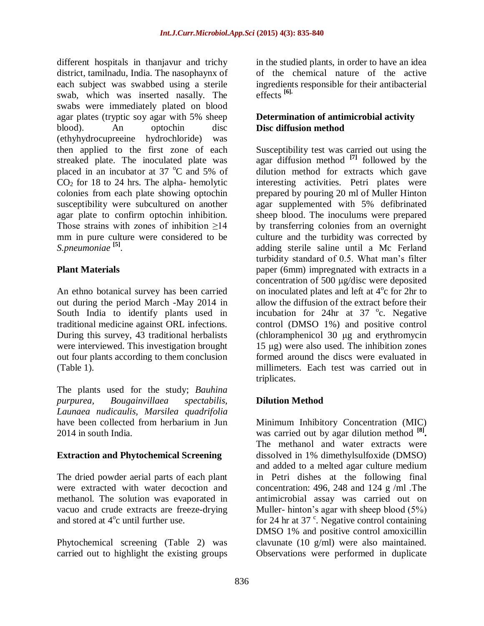different hospitals in thanjavur and trichy district, tamilnadu, India. The nasophaynx of each subject was swabbed using a sterile swab, which was inserted nasally. The swabs were immediately plated on blood agar plates (tryptic soy agar with 5% sheep blood). An optochin disc (ethyhydrocupreeine hydrochloride) was then applied to the first zone of each streaked plate. The inoculated plate was placed in an incubator at 37  $^{\circ}$ C and 5% of  $CO<sub>2</sub>$  for 18 to 24 hrs. The alpha- hemolytic colonies from each plate showing optochin susceptibility were subcultured on another agar plate to confirm optochin inhibition. Those strains with zones of inhibition >14 mm in pure culture were considered to be *S.pneumoniae* **[5]** .

## **Plant Materials**

An ethno botanical survey has been carried out during the period March -May 2014 in South India to identify plants used in traditional medicine against ORL infections. During this survey, 43 traditional herbalists were interviewed. This investigation brought out four plants according to them conclusion (Table 1).

The plants used for the study; *Bauhina purpurea, Bougainvillaea spectabilis, Launaea nudicaulis, Marsilea quadrifolia* have been collected from herbarium in Jun 2014 in south India.

## **Extraction and Phytochemical Screening**

The dried powder aerial parts of each plant were extracted with water decoction and methanol. The solution was evaporated in vacuo and crude extracts are freeze-drying and stored at  $4^{\circ}$ c until further use.

Phytochemical screening (Table 2) was carried out to highlight the existing groups in the studied plants, in order to have an idea of the chemical nature of the active ingredients responsible for their antibacterial effects **[6].**

#### **Determination of antimicrobial activity Disc diffusion method**

Susceptibility test was carried out using the agar diffusion method **[7]** followed by the dilution method for extracts which gave interesting activities. Petri plates were prepared by pouring 20 ml of Muller Hinton agar supplemented with 5% defibrinated sheep blood. The inoculums were prepared by transferring colonies from an overnight culture and the turbidity was corrected by adding sterile saline until a Mc Ferland turbidity standard of 0.5. What man's filter paper (6mm) impregnated with extracts in a concentration of 500 μg/disc were deposited on inoculated plates and left at  $4^{\circ}$ c for 2hr to allow the diffusion of the extract before their incubation for 24hr at  $37^{\circ}$ c. Negative control (DMSO 1%) and positive control (chloramphenicol 30 μg and erythromycin 15 μg) were also used. The inhibition zones formed around the discs were evaluated in millimeters. Each test was carried out in triplicates.

# **Dilution Method**

Minimum Inhibitory Concentration (MIC) was carried out by agar dilution method **[8] .**  The methanol and water extracts were dissolved in 1% dimethylsulfoxide (DMSO) and added to a melted agar culture medium in Petri dishes at the following final concentration: 496, 248 and 124  $g$  /ml . The antimicrobial assay was carried out on Muller- hinton's agar with sheep blood (5%) for 24 hr at 37 $\degree$ . Negative control containing DMSO 1% and positive control amoxicillin clavunate (10 g/ml) were also maintained. Observations were performed in duplicate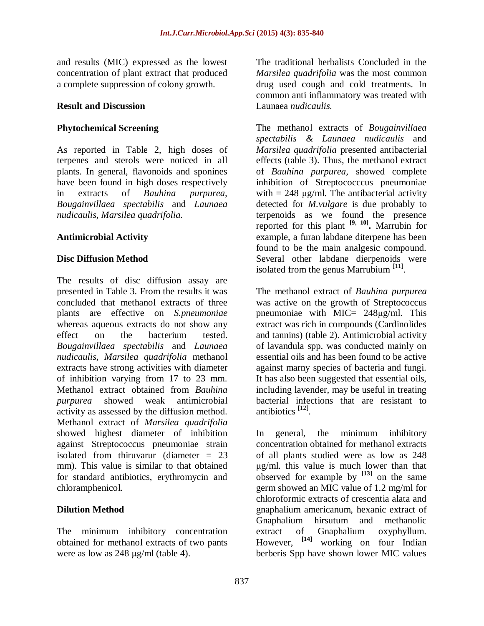and results (MIC) expressed as the lowest concentration of plant extract that produced a complete suppression of colony growth.

#### **Result and Discussion**

#### **Phytochemical Screening**

As reported in Table 2, high doses of terpenes and sterols were noticed in all plants. In general, flavonoids and sponines have been found in high doses respectively in extracts of *Bauhina purpurea, Bougainvillaea spectabilis* and *Launaea nudicaulis, Marsilea quadrifolia.*

#### **Antimicrobial Activity**

#### **Disc Diffusion Method**

The results of disc diffusion assay are presented in Table 3. From the results it was concluded that methanol extracts of three plants are effective on *S.pneumoniae* whereas aqueous extracts do not show any effect on the bacterium tested. *Bougainvillaea spectabilis* and *Launaea nudicaulis, Marsilea quadrifolia* methanol extracts have strong activities with diameter of inhibition varying from 17 to 23 mm. Methanol extract obtained from *Bauhina purpurea* showed weak antimicrobial activity as assessed by the diffusion method. Methanol extract of *Marsilea quadrifolia* showed highest diameter of inhibition against Streptococcus pneumoniae strain isolated from thiruvarur (diameter  $= 23$ mm). This value is similar to that obtained for standard antibiotics, erythromycin and chloramphenicol.

## **Dilution Method**

The minimum inhibitory concentration obtained for methanol extracts of two pants were as low as 248 μg/ml (table 4).

The traditional herbalists Concluded in the *Marsilea quadrifolia* was the most common drug used cough and cold treatments. In common anti inflammatory was treated with Launaea *nudicaulis.*

The methanol extracts of *Bougainvillaea spectabilis & Launaea nudicaulis* and *Marsilea quadrifolia* presented antibacterial effects (table 3). Thus, the methanol extract of *Bauhina purpurea,* showed complete inhibition of Streptococccus pneumoniae with  $= 248$  µg/ml. The antibacterial activity detected for *M.vulgare* is due probably to terpenoids as we found the presence reported for this plant **[9, 10] .** Marrubin for example, a furan labdane diterpene has been found to be the main analgesic compound. Several other labdane dierpenoids were isolated from the genus Marrubium<sup>[11]</sup>.

The methanol extract of *Bauhina purpurea* was active on the growth of Streptococcus pneumoniae with MIC=  $248\mu g/ml$ . This extract was rich in compounds (Cardinolides and tannins) (table 2). Antimicrobial activity of lavandula spp. was conducted mainly on essential oils and has been found to be active against marny species of bacteria and fungi. It has also been suggested that essential oils, including lavender, may be useful in treating bacterial infections that are resistant to antibiotics [12].

In general, the minimum inhibitory concentration obtained for methanol extracts of all plants studied were as low as 248 μg/ml. this value is much lower than that observed for example by **[13]** on the same germ showed an MIC value of 1.2 mg/ml for chloroformic extracts of crescentia alata and gnaphalium americanum, hexanic extract of Gnaphalium hirsutum and methanolic extract of Gnaphalium oxyphyllum. However, **[14]** working on four Indian berberis Spp have shown lower MIC values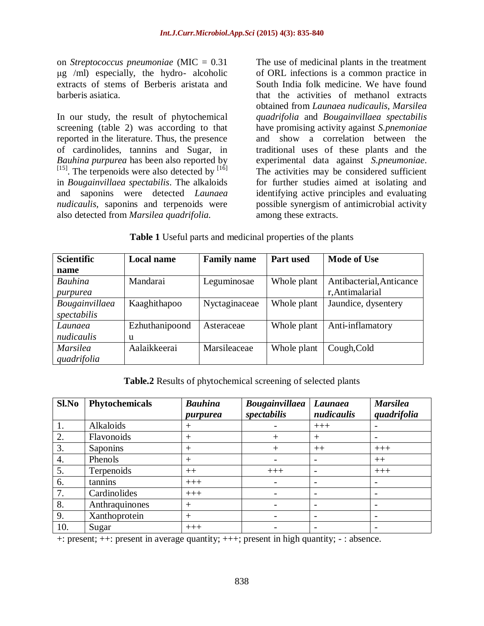on *Streptococcus pneumoniae* (MIC = 0.31 μg /ml) especially, the hydro- alcoholic extracts of stems of Berberis aristata and barberis asiatica.

In our study, the result of phytochemical screening (table 2) was according to that reported in the literature. Thus, the presence of cardinolides, tannins and Sugar, in *Bauhina purpurea* has been also reported by  $[15]$ . The terpenoids were also detected by  $[16]$ in *Bougainvillaea spectabilis*. The alkaloids and saponins were detected *Launaea nudicaulis,* saponins and terpenoids were also detected from *Marsilea quadrifolia.*

The use of medicinal plants in the treatment of ORL infections is a common practice in South India folk medicine. We have found that the activities of methanol extracts obtained from *Launaea nudicaulis, Marsilea quadrifolia* and *Bougainvillaea spectabilis* have promising activity against *S.pnemoniae* and show a correlation between the traditional uses of these plants and the experimental data against *S.pneumoniae*. The activities may be considered sufficient for further studies aimed at isolating and identifying active principles and evaluating possible synergism of antimicrobial activity among these extracts.

|  |  | Table 1 Useful parts and medicinal properties of the plants |  |
|--|--|-------------------------------------------------------------|--|
|--|--|-------------------------------------------------------------|--|

| <b>Scientific</b> | <b>Local name</b> | <b>Family name</b> | <b>Part used</b> | <b>Mode of Use</b>       |
|-------------------|-------------------|--------------------|------------------|--------------------------|
| name              |                   |                    |                  |                          |
| <b>Bauhina</b>    | Mandarai          | Leguminosae        | Whole plant      | Antibacterial, Anticance |
| purpurea          |                   |                    |                  | r, Antimalarial          |
| Bougainvillaea    | Kaaghithapoo      | Nyctaginaceae      | Whole plant      | Jaundice, dysentery      |
| spectabilis       |                   |                    |                  |                          |
| Launaea           | Ezhuthanipoond    | Asteraceae         | Whole plant      | Anti-inflamatory         |
| nudicaulis        | u                 |                    |                  |                          |
| <b>Marsilea</b>   | Aalaikkeerai      | Marsileaceae       | Whole plant      | Cough, Cold              |
| quadrifolia       |                   |                    |                  |                          |

**Table.2** Results of phytochemical screening of selected plants

| Sl.No | Phytochemicals | <b>Bauhina</b><br>purpurea | <b>Bougainvillaea</b><br>spectabilis | Launaea<br>nudicaulis | <b>Marsilea</b><br>quadrifolia |
|-------|----------------|----------------------------|--------------------------------------|-----------------------|--------------------------------|
|       | Alkaloids      |                            |                                      | $+++$                 |                                |
| 2.    | Flavonoids     | $^{+}$                     | +                                    | $^{+}$                |                                |
| 3.    | Saponins       | $^{+}$                     |                                      | $++$                  | $+++$                          |
| 4.    | Phenols        | $\pm$                      |                                      |                       | $++$                           |
| 5.    | Terpenoids     | $++$                       | $+++$                                |                       | $+++$                          |
| 6.    | tannins        | $+++$                      |                                      |                       | $\overline{\phantom{0}}$       |
| 7.    | Cardinolides   | $+++$                      |                                      |                       |                                |
| 8.    | Anthraquinones | $^{+}$                     |                                      |                       |                                |
| 9.    | Xanthoprotein  | $^{+}$                     |                                      |                       |                                |
| 10.   | Sugar          | $+++$                      |                                      |                       |                                |

+: present; ++: present in average quantity; +++; present in high quantity; - : absence.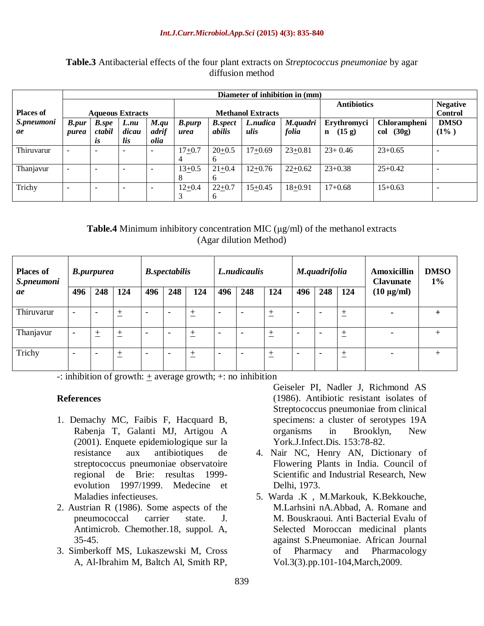#### **Table.3** Antibacterial effects of the four plant extracts on *Streptococcus pneumoniae* by agar diffusion method

|                  | Diameter of inhibition in (mm) |                          |                         |                          |               |                 |                          |             |                       |                 |                |
|------------------|--------------------------------|--------------------------|-------------------------|--------------------------|---------------|-----------------|--------------------------|-------------|-----------------------|-----------------|----------------|
|                  |                                |                          |                         |                          |               |                 |                          |             | <b>Antibiotics</b>    | <b>Negative</b> |                |
| <b>Places of</b> |                                |                          | <b>Aqueous Extracts</b> |                          |               |                 | <b>Methanol Extracts</b> |             |                       |                 | <b>Control</b> |
| S.pneumoni       | <b>B.pur</b>                   | <b>B.spe</b>             | L.nu                    | M.qu                     | <b>B.purp</b> | <b>B</b> .spect | L.nudica                 | M.quadri    | Erythromyci           | Chlorampheni    | <b>DMSO</b>    |
| ae               | purea                          | ctabil                   | dicau                   | adrif                    | urea          | <i>abilis</i>   | ulis                     | folia       | (15 g)<br>$\mathbf n$ | (30g)<br>col    | $(1\%)$        |
|                  |                                | <i>is</i>                | lis                     | olia                     |               |                 |                          |             |                       |                 |                |
| Thiruvarur       |                                | $\overline{\phantom{0}}$ |                         | $\overline{\phantom{0}}$ | $17+0.7$      | $20+0.5$        | $17+0.69$                | $23+0.81$   | $23+0.46$             | $23+0.65$       |                |
|                  |                                |                          |                         |                          |               | <sub>0</sub>    |                          |             |                       |                 |                |
| Thanjavur        |                                | $\overline{\phantom{0}}$ |                         | $\overline{\phantom{0}}$ | $13+0.5$      | $21+0.4$        | $12+0.76$                | $22+0.62$   | $23+0.38$             | $25+0.42$       |                |
|                  |                                |                          |                         |                          |               | $\mathbf b$     |                          |             |                       |                 |                |
| Trichy           |                                | $\overline{\phantom{0}}$ |                         |                          | $12+0.4$      | $22+0.7$        | $15+0.45$                | $18 + 0.91$ | $17+0.68$             | $15+0.63$       |                |
|                  |                                |                          |                         |                          |               |                 |                          |             |                       |                 |                |

#### **Table.4** Minimum inhibitory concentration MIC  $(\mu g/ml)$  of the methanol extracts (Agar dilution Method)

| <b>Places of</b><br>S.pneumoni | <b>B.purpurea</b>        |                          |            | <b>B.</b> spectabilis    |                          |       | L.nudicaulis             |                          |       | M.quadrifolia            |                          |                    | <b>Amoxicillin</b><br><b>Clavunate</b> | <b>DMSO</b><br>$1\%$ |
|--------------------------------|--------------------------|--------------------------|------------|--------------------------|--------------------------|-------|--------------------------|--------------------------|-------|--------------------------|--------------------------|--------------------|----------------------------------------|----------------------|
| ae                             | 496                      | 248                      | 124        | 496                      | 248                      | 124   | 496                      | 248                      | 124   | 496                      | 248                      | 124                | $(10 \mu g/ml)$                        |                      |
| Thiruvarur                     | $\overline{\phantom{0}}$ | $\overline{\phantom{a}}$ | $\pm$<br>∸ | $\overline{\phantom{0}}$ | $\overline{\phantom{a}}$ | 土     | $\overline{\phantom{a}}$ | $\overline{\phantom{a}}$ | 土     | $\overline{\phantom{0}}$ | $\overline{\phantom{a}}$ | $\mathrm{+}$<br>-- |                                        |                      |
| Thanjavur                      | $\overline{\phantom{0}}$ | $\pm$                    | 土          | $\overline{\phantom{a}}$ | $\overline{\phantom{a}}$ | $\pm$ | $\overline{\phantom{a}}$ | $\overline{\phantom{a}}$ | $\pm$ | $\overline{\phantom{0}}$ | $\overline{\phantom{a}}$ | 土                  |                                        |                      |
| Trichy                         | $\overline{\phantom{0}}$ | ٠                        | 土          | $\overline{\phantom{a}}$ | $\overline{\phantom{a}}$ | $\pm$ | $\overline{\phantom{a}}$ | $\overline{\phantom{a}}$ | $\pm$ | -                        | $\overline{\phantom{a}}$ | $\pm$<br>--        |                                        |                      |

-: inhibition of growth:  $\pm$  average growth; +: no inhibition

#### **References**

- 1. Demachy MC, Faibis F, Hacquard B, Rabenia T, Galanti MJ, Artigou A (2001). Enquete epidemiologique sur la antibiotiques resistance aux de streptococcus pneumoniae observatoire regional de Brie: resultas 1999evolution 1997/1999. Medecine et Maladies infectieuses.
- 2. Austrian R (1986). Some aspects of the pneumococcal carrier state.  $J<sub>r</sub>$ Antimicrob. Chemother.18, suppol. A,  $35-45.$
- 3. Simberkoff MS, Lukaszewski M, Cross A, Al-Ibrahim M, Baltch Al, Smith RP,

Geiseler PI, Nadler J, Richmond AS (1986). Antibiotic resistant isolates of Streptococcus pneumoniae from clinical specimens: a cluster of serotypes 19A organisms  $in$ Brooklyn, **New** York.J.Infect.Dis. 153:78-82.

- 4. Nair NC, Henry AN, Dictionary of Flowering Plants in India. Council of Scientific and Industrial Research, New Delhi, 1973.
- 5. Warda .K , M.Markouk, K.Bekkouche, M.Larhsini nA.Abbad, A. Romane and M. Bouskraoui. Anti Bacterial Evalu of Selected Moroccan medicinal plants against S.Pneumoniae. African Journal of Pharmacy and Pharmacology Vol.3(3).pp.101-104, March, 2009.